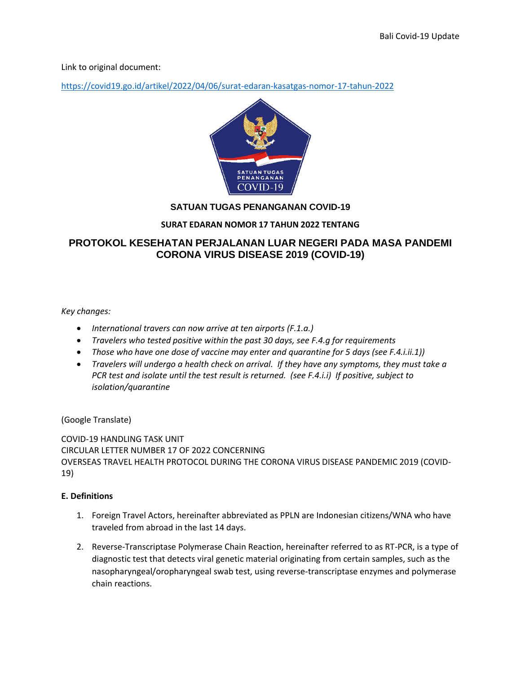Link to original document:

<https://covid19.go.id/artikel/2022/04/06/surat-edaran-kasatgas-nomor-17-tahun-2022>



## **SATUAN TUGAS PENANGANAN COVID-19**

### **SURAT EDARAN NOMOR 17 TAHUN 2022 TENTANG**

# **PROTOKOL KESEHATAN PERJALANAN LUAR NEGERI PADA MASA PANDEMI CORONA VIRUS DISEASE 2019 (COVID-19)**

*Key changes:*

- *International travers can now arrive at ten airports (F.1.a.)*
- *Travelers who tested positive within the past 30 days, see F.4.g for requirements*
- *Those who have one dose of vaccine may enter and quarantine for 5 days (see F.4.i.ii.1))*
- *Travelers will undergo a health check on arrival. If they have any symptoms, they must take a PCR test and isolate until the test result is returned. (see F.4.i.i) If positive, subject to isolation/quarantine*

(Google Translate)

COVID-19 HANDLING TASK UNIT CIRCULAR LETTER NUMBER 17 OF 2022 CONCERNING OVERSEAS TRAVEL HEALTH PROTOCOL DURING THE CORONA VIRUS DISEASE PANDEMIC 2019 (COVID-19)

### **E. Definitions**

- 1. Foreign Travel Actors, hereinafter abbreviated as PPLN are Indonesian citizens/WNA who have traveled from abroad in the last 14 days.
- 2. Reverse-Transcriptase Polymerase Chain Reaction, hereinafter referred to as RT-PCR, is a type of diagnostic test that detects viral genetic material originating from certain samples, such as the nasopharyngeal/oropharyngeal swab test, using reverse-transcriptase enzymes and polymerase chain reactions.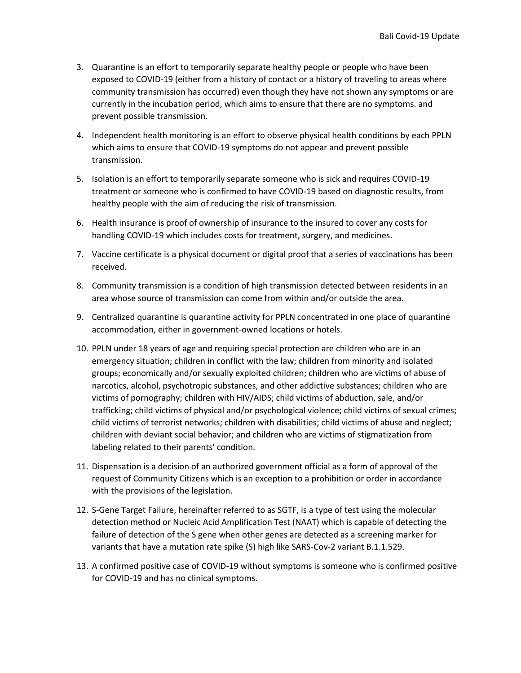- 3. Quarantine is an effort to temporarily separate healthy people or people who have been exposed to COVID-19 (either from a history of contact or a history of traveling to areas where community transmission has occurred) even though they have not shown any symptoms or are currently in the incubation period, which aims to ensure that there are no symptoms. and prevent possible transmission.
- 4. Independent health monitoring is an effort to observe physical health conditions by each PPLN which aims to ensure that COVID-19 symptoms do not appear and prevent possible transmission.
- 5. Isolation is an effort to temporarily separate someone who is sick and requires COVID-19 treatment or someone who is confirmed to have COVID-19 based on diagnostic results, from healthy people with the aim of reducing the risk of transmission.
- 6. Health insurance is proof of ownership of insurance to the insured to cover any costs for handling COVID-19 which includes costs for treatment, surgery, and medicines.
- 7. Vaccine certificate is a physical document or digital proof that a series of vaccinations has been received.
- 8. Community transmission is a condition of high transmission detected between residents in an area whose source of transmission can come from within and/or outside the area.
- 9. Centralized quarantine is quarantine activity for PPLN concentrated in one place of quarantine accommodation, either in government-owned locations or hotels.
- 10. PPLN under 18 years of age and requiring special protection are children who are in an emergency situation; children in conflict with the law; children from minority and isolated groups; economically and/or sexually exploited children; children who are victims of abuse of narcotics, alcohol, psychotropic substances, and other addictive substances; children who are victims of pornography; children with HIV/AIDS; child victims of abduction, sale, and/or trafficking; child victims of physical and/or psychological violence; child victims of sexual crimes; child victims of terrorist networks; children with disabilities; child victims of abuse and neglect; children with deviant social behavior; and children who are victims of stigmatization from labeling related to their parents' condition.
- 11. Dispensation is a decision of an authorized government official as a form of approval of the request of Community Citizens which is an exception to a prohibition or order in accordance with the provisions of the legislation.
- 12. S-Gene Target Failure, hereinafter referred to as SGTF, is a type of test using the molecular detection method or Nucleic Acid Amplification Test (NAAT) which is capable of detecting the failure of detection of the S gene when other genes are detected as a screening marker for variants that have a mutation rate spike (S) high like SARS-Cov-2 variant B.1.1.529.
- 13. A confirmed positive case of COVID-19 without symptoms is someone who is confirmed positive for COVID-19 and has no clinical symptoms.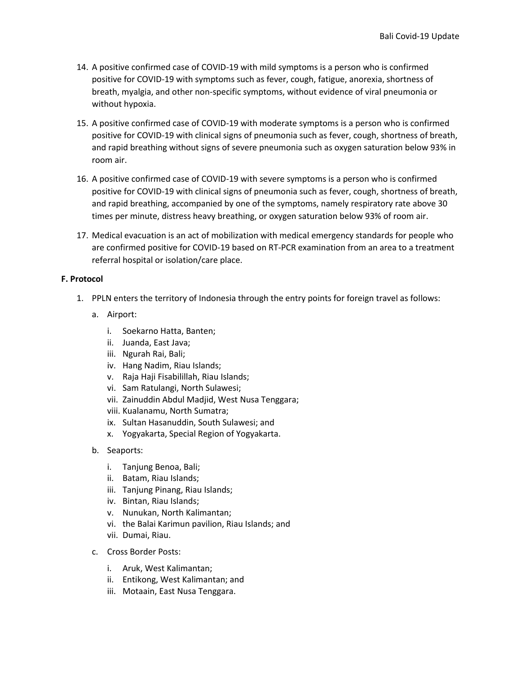- 14. A positive confirmed case of COVID-19 with mild symptoms is a person who is confirmed positive for COVID-19 with symptoms such as fever, cough, fatigue, anorexia, shortness of breath, myalgia, and other non-specific symptoms, without evidence of viral pneumonia or without hypoxia.
- 15. A positive confirmed case of COVID-19 with moderate symptoms is a person who is confirmed positive for COVID-19 with clinical signs of pneumonia such as fever, cough, shortness of breath, and rapid breathing without signs of severe pneumonia such as oxygen saturation below 93% in room air.
- 16. A positive confirmed case of COVID-19 with severe symptoms is a person who is confirmed positive for COVID-19 with clinical signs of pneumonia such as fever, cough, shortness of breath, and rapid breathing, accompanied by one of the symptoms, namely respiratory rate above 30 times per minute, distress heavy breathing, or oxygen saturation below 93% of room air.
- 17. Medical evacuation is an act of mobilization with medical emergency standards for people who are confirmed positive for COVID-19 based on RT-PCR examination from an area to a treatment referral hospital or isolation/care place.

#### **F. Protocol**

- 1. PPLN enters the territory of Indonesia through the entry points for foreign travel as follows:
	- a. Airport:
		- i. Soekarno Hatta, Banten;
		- ii. Juanda, East Java;
		- iii. Ngurah Rai, Bali;
		- iv. Hang Nadim, Riau Islands;
		- v. Raja Haji Fisabilillah, Riau Islands;
		- vi. Sam Ratulangi, North Sulawesi;
		- vii. Zainuddin Abdul Madjid, West Nusa Tenggara;
		- viii. Kualanamu, North Sumatra;
		- ix. Sultan Hasanuddin, South Sulawesi; and
		- x. Yogyakarta, Special Region of Yogyakarta.
	- b. Seaports:
		- i. Tanjung Benoa, Bali;
		- ii. Batam, Riau Islands;
		- iii. Tanjung Pinang, Riau Islands;
		- iv. Bintan, Riau Islands;
		- v. Nunukan, North Kalimantan;
		- vi. the Balai Karimun pavilion, Riau Islands; and
		- vii. Dumai, Riau.
	- c. Cross Border Posts:
		- i. Aruk, West Kalimantan;
		- ii. Entikong, West Kalimantan; and
		- iii. Motaain, East Nusa Tenggara.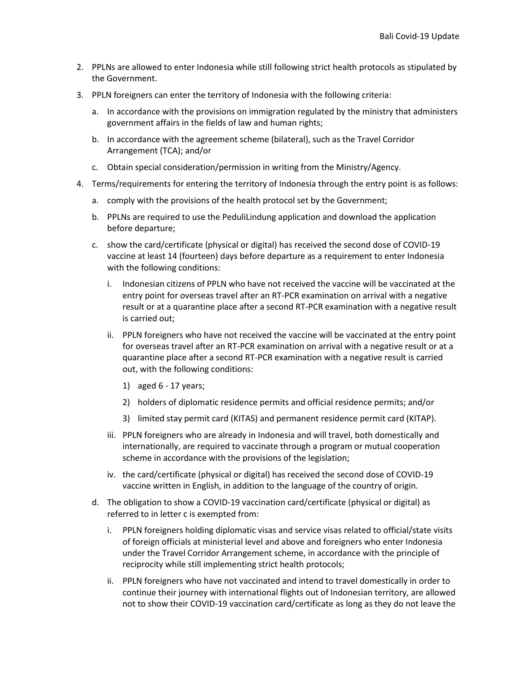- 2. PPLNs are allowed to enter Indonesia while still following strict health protocols as stipulated by the Government.
- 3. PPLN foreigners can enter the territory of Indonesia with the following criteria:
	- a. In accordance with the provisions on immigration regulated by the ministry that administers government affairs in the fields of law and human rights;
	- b. In accordance with the agreement scheme (bilateral), such as the Travel Corridor Arrangement (TCA); and/or
	- c. Obtain special consideration/permission in writing from the Ministry/Agency.
- 4. Terms/requirements for entering the territory of Indonesia through the entry point is as follows:
	- a. comply with the provisions of the health protocol set by the Government;
	- b. PPLNs are required to use the PeduliLindung application and download the application before departure;
	- c. show the card/certificate (physical or digital) has received the second dose of COVID-19 vaccine at least 14 (fourteen) days before departure as a requirement to enter Indonesia with the following conditions:
		- i. Indonesian citizens of PPLN who have not received the vaccine will be vaccinated at the entry point for overseas travel after an RT-PCR examination on arrival with a negative result or at a quarantine place after a second RT-PCR examination with a negative result is carried out;
		- ii. PPLN foreigners who have not received the vaccine will be vaccinated at the entry point for overseas travel after an RT-PCR examination on arrival with a negative result or at a quarantine place after a second RT-PCR examination with a negative result is carried out, with the following conditions:
			- 1) aged 6 17 years;
			- 2) holders of diplomatic residence permits and official residence permits; and/or
			- 3) limited stay permit card (KITAS) and permanent residence permit card (KITAP).
		- iii. PPLN foreigners who are already in Indonesia and will travel, both domestically and internationally, are required to vaccinate through a program or mutual cooperation scheme in accordance with the provisions of the legislation;
		- iv. the card/certificate (physical or digital) has received the second dose of COVID-19 vaccine written in English, in addition to the language of the country of origin.
	- d. The obligation to show a COVID-19 vaccination card/certificate (physical or digital) as referred to in letter c is exempted from:
		- i. PPLN foreigners holding diplomatic visas and service visas related to official/state visits of foreign officials at ministerial level and above and foreigners who enter Indonesia under the Travel Corridor Arrangement scheme, in accordance with the principle of reciprocity while still implementing strict health protocols;
		- ii. PPLN foreigners who have not vaccinated and intend to travel domestically in order to continue their journey with international flights out of Indonesian territory, are allowed not to show their COVID-19 vaccination card/certificate as long as they do not leave the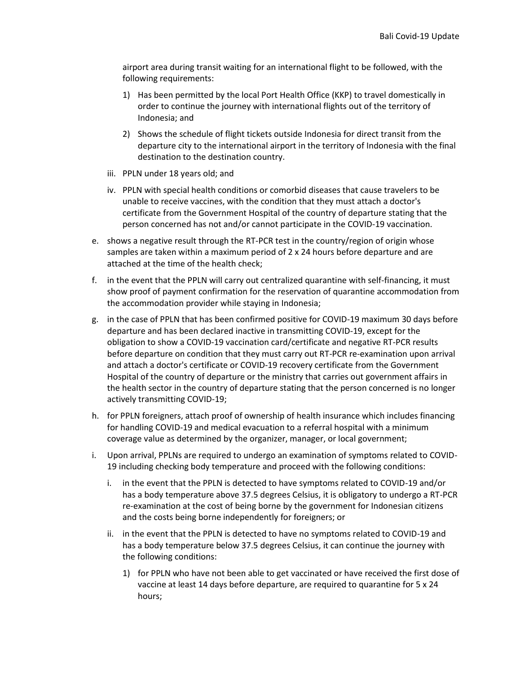airport area during transit waiting for an international flight to be followed, with the following requirements:

- 1) Has been permitted by the local Port Health Office (KKP) to travel domestically in order to continue the journey with international flights out of the territory of Indonesia; and
- 2) Shows the schedule of flight tickets outside Indonesia for direct transit from the departure city to the international airport in the territory of Indonesia with the final destination to the destination country.
- iii. PPLN under 18 years old; and
- iv. PPLN with special health conditions or comorbid diseases that cause travelers to be unable to receive vaccines, with the condition that they must attach a doctor's certificate from the Government Hospital of the country of departure stating that the person concerned has not and/or cannot participate in the COVID-19 vaccination.
- e. shows a negative result through the RT-PCR test in the country/region of origin whose samples are taken within a maximum period of 2 x 24 hours before departure and are attached at the time of the health check;
- f. in the event that the PPLN will carry out centralized quarantine with self-financing, it must show proof of payment confirmation for the reservation of quarantine accommodation from the accommodation provider while staying in Indonesia;
- g. in the case of PPLN that has been confirmed positive for COVID-19 maximum 30 days before departure and has been declared inactive in transmitting COVID-19, except for the obligation to show a COVID-19 vaccination card/certificate and negative RT-PCR results before departure on condition that they must carry out RT-PCR re-examination upon arrival and attach a doctor's certificate or COVID-19 recovery certificate from the Government Hospital of the country of departure or the ministry that carries out government affairs in the health sector in the country of departure stating that the person concerned is no longer actively transmitting COVID-19;
- h. for PPLN foreigners, attach proof of ownership of health insurance which includes financing for handling COVID-19 and medical evacuation to a referral hospital with a minimum coverage value as determined by the organizer, manager, or local government;
- i. Upon arrival, PPLNs are required to undergo an examination of symptoms related to COVID-19 including checking body temperature and proceed with the following conditions:
	- i. in the event that the PPLN is detected to have symptoms related to COVID-19 and/or has a body temperature above 37.5 degrees Celsius, it is obligatory to undergo a RT-PCR re-examination at the cost of being borne by the government for Indonesian citizens and the costs being borne independently for foreigners; or
	- ii. in the event that the PPLN is detected to have no symptoms related to COVID-19 and has a body temperature below 37.5 degrees Celsius, it can continue the journey with the following conditions:
		- 1) for PPLN who have not been able to get vaccinated or have received the first dose of vaccine at least 14 days before departure, are required to quarantine for 5 x 24 hours;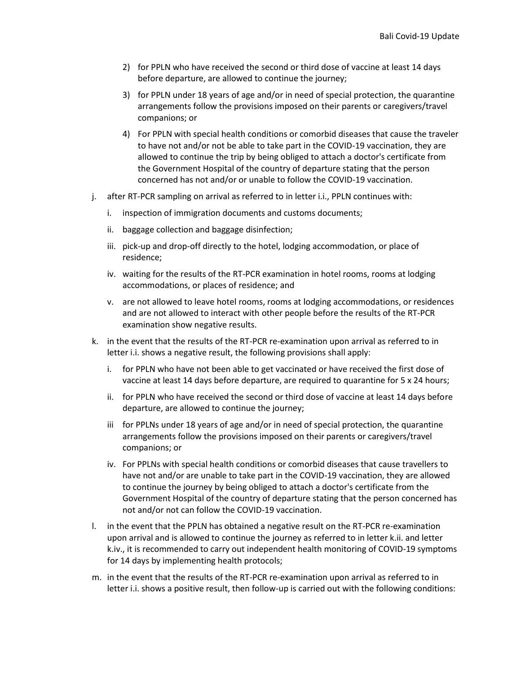- 2) for PPLN who have received the second or third dose of vaccine at least 14 days before departure, are allowed to continue the journey;
- 3) for PPLN under 18 years of age and/or in need of special protection, the quarantine arrangements follow the provisions imposed on their parents or caregivers/travel companions; or
- 4) For PPLN with special health conditions or comorbid diseases that cause the traveler to have not and/or not be able to take part in the COVID-19 vaccination, they are allowed to continue the trip by being obliged to attach a doctor's certificate from the Government Hospital of the country of departure stating that the person concerned has not and/or or unable to follow the COVID-19 vaccination.
- j. after RT-PCR sampling on arrival as referred to in letter i.i., PPLN continues with:
	- i. inspection of immigration documents and customs documents;
	- ii. baggage collection and baggage disinfection;
	- iii. pick-up and drop-off directly to the hotel, lodging accommodation, or place of residence;
	- iv. waiting for the results of the RT-PCR examination in hotel rooms, rooms at lodging accommodations, or places of residence; and
	- v. are not allowed to leave hotel rooms, rooms at lodging accommodations, or residences and are not allowed to interact with other people before the results of the RT-PCR examination show negative results.
- k. in the event that the results of the RT-PCR re-examination upon arrival as referred to in letter i.i. shows a negative result, the following provisions shall apply:
	- i. for PPLN who have not been able to get vaccinated or have received the first dose of vaccine at least 14 days before departure, are required to quarantine for 5 x 24 hours;
	- ii. for PPLN who have received the second or third dose of vaccine at least 14 days before departure, are allowed to continue the journey;
	- iii for PPLNs under 18 years of age and/or in need of special protection, the quarantine arrangements follow the provisions imposed on their parents or caregivers/travel companions; or
	- iv. For PPLNs with special health conditions or comorbid diseases that cause travellers to have not and/or are unable to take part in the COVID-19 vaccination, they are allowed to continue the journey by being obliged to attach a doctor's certificate from the Government Hospital of the country of departure stating that the person concerned has not and/or not can follow the COVID-19 vaccination.
- l. in the event that the PPLN has obtained a negative result on the RT-PCR re-examination upon arrival and is allowed to continue the journey as referred to in letter k.ii. and letter k.iv., it is recommended to carry out independent health monitoring of COVID-19 symptoms for 14 days by implementing health protocols;
- m. in the event that the results of the RT-PCR re-examination upon arrival as referred to in letter i.i. shows a positive result, then follow-up is carried out with the following conditions: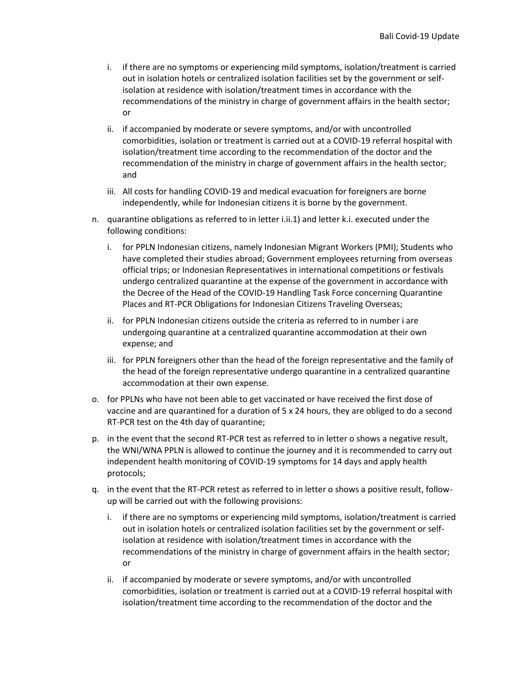- i. if there are no symptoms or experiencing mild symptoms, isolation/treatment is carried out in isolation hotels or centralized isolation facilities set by the government or selfisolation at residence with isolation/treatment times in accordance with the recommendations of the ministry in charge of government affairs in the health sector; or
- ii. if accompanied by moderate or severe symptoms, and/or with uncontrolled comorbidities, isolation or treatment is carried out at a COVID-19 referral hospital with isolation/treatment time according to the recommendation of the doctor and the recommendation of the ministry in charge of government affairs in the health sector; and
- iii. All costs for handling COVID-19 and medical evacuation for foreigners are borne independently, while for Indonesian citizens it is borne by the government.
- n. quarantine obligations as referred to in letter i.ii.1) and letter k.i. executed under the following conditions:
	- i. for PPLN Indonesian citizens, namely Indonesian Migrant Workers (PMI); Students who have completed their studies abroad; Government employees returning from overseas official trips; or Indonesian Representatives in international competitions or festivals undergo centralized quarantine at the expense of the government in accordance with the Decree of the Head of the COVID-19 Handling Task Force concerning Quarantine Places and RT-PCR Obligations for Indonesian Citizens Traveling Overseas;
	- ii. for PPLN Indonesian citizens outside the criteria as referred to in number i are undergoing quarantine at a centralized quarantine accommodation at their own expense; and
	- iii. for PPLN foreigners other than the head of the foreign representative and the family of the head of the foreign representative undergo quarantine in a centralized quarantine accommodation at their own expense.
- o. for PPLNs who have not been able to get vaccinated or have received the first dose of vaccine and are quarantined for a duration of 5 x 24 hours, they are obliged to do a second RT-PCR test on the 4th day of quarantine;
- p. in the event that the second RT-PCR test as referred to in letter o shows a negative result, the WNI/WNA PPLN is allowed to continue the journey and it is recommended to carry out independent health monitoring of COVID-19 symptoms for 14 days and apply health protocols;
- q. in the event that the RT-PCR retest as referred to in letter o shows a positive result, followup will be carried out with the following provisions:
	- i. if there are no symptoms or experiencing mild symptoms, isolation/treatment is carried out in isolation hotels or centralized isolation facilities set by the government or selfisolation at residence with isolation/treatment times in accordance with the recommendations of the ministry in charge of government affairs in the health sector; or
	- ii. if accompanied by moderate or severe symptoms, and/or with uncontrolled comorbidities, isolation or treatment is carried out at a COVID-19 referral hospital with isolation/treatment time according to the recommendation of the doctor and the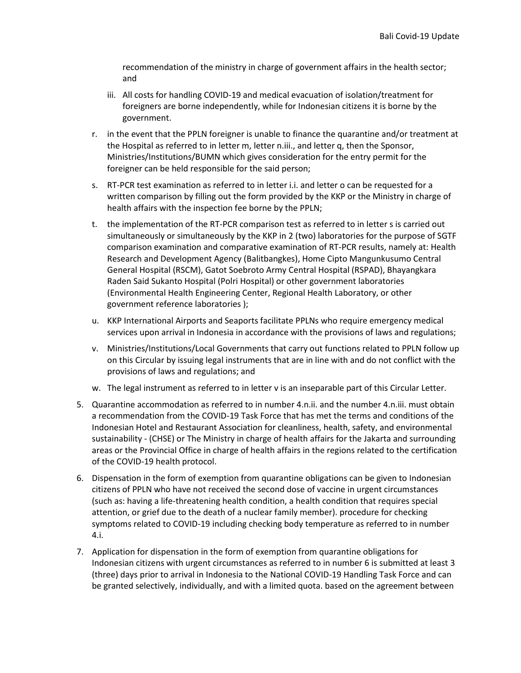recommendation of the ministry in charge of government affairs in the health sector; and

- iii. All costs for handling COVID-19 and medical evacuation of isolation/treatment for foreigners are borne independently, while for Indonesian citizens it is borne by the government.
- r. in the event that the PPLN foreigner is unable to finance the quarantine and/or treatment at the Hospital as referred to in letter m, letter n.iii., and letter q, then the Sponsor, Ministries/Institutions/BUMN which gives consideration for the entry permit for the foreigner can be held responsible for the said person;
- s. RT-PCR test examination as referred to in letter i.i. and letter o can be requested for a written comparison by filling out the form provided by the KKP or the Ministry in charge of health affairs with the inspection fee borne by the PPLN;
- t. the implementation of the RT-PCR comparison test as referred to in letter s is carried out simultaneously or simultaneously by the KKP in 2 (two) laboratories for the purpose of SGTF comparison examination and comparative examination of RT-PCR results, namely at: Health Research and Development Agency (Balitbangkes), Home Cipto Mangunkusumo Central General Hospital (RSCM), Gatot Soebroto Army Central Hospital (RSPAD), Bhayangkara Raden Said Sukanto Hospital (Polri Hospital) or other government laboratories (Environmental Health Engineering Center, Regional Health Laboratory, or other government reference laboratories );
- u. KKP International Airports and Seaports facilitate PPLNs who require emergency medical services upon arrival in Indonesia in accordance with the provisions of laws and regulations;
- v. Ministries/Institutions/Local Governments that carry out functions related to PPLN follow up on this Circular by issuing legal instruments that are in line with and do not conflict with the provisions of laws and regulations; and
- w. The legal instrument as referred to in letter v is an inseparable part of this Circular Letter.
- 5. Quarantine accommodation as referred to in number 4.n.ii. and the number 4.n.iii. must obtain a recommendation from the COVID-19 Task Force that has met the terms and conditions of the Indonesian Hotel and Restaurant Association for cleanliness, health, safety, and environmental sustainability - (CHSE) or The Ministry in charge of health affairs for the Jakarta and surrounding areas or the Provincial Office in charge of health affairs in the regions related to the certification of the COVID-19 health protocol.
- 6. Dispensation in the form of exemption from quarantine obligations can be given to Indonesian citizens of PPLN who have not received the second dose of vaccine in urgent circumstances (such as: having a life-threatening health condition, a health condition that requires special attention, or grief due to the death of a nuclear family member). procedure for checking symptoms related to COVID-19 including checking body temperature as referred to in number 4.i.
- 7. Application for dispensation in the form of exemption from quarantine obligations for Indonesian citizens with urgent circumstances as referred to in number 6 is submitted at least 3 (three) days prior to arrival in Indonesia to the National COVID-19 Handling Task Force and can be granted selectively, individually, and with a limited quota. based on the agreement between